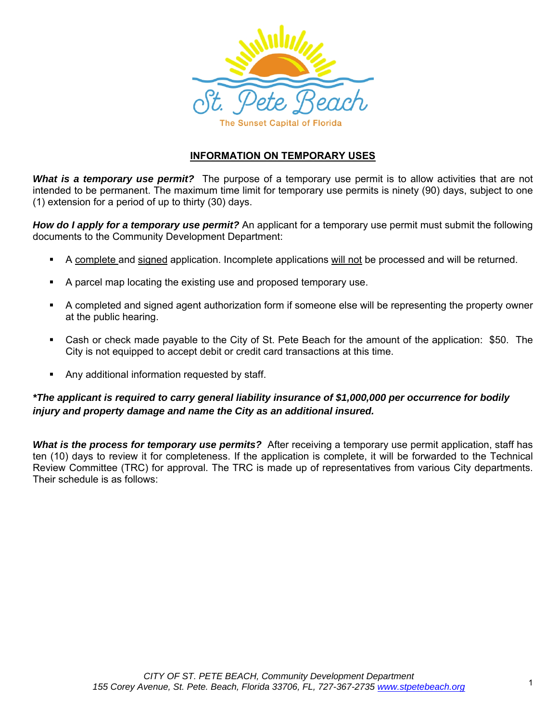

# **INFORMATION ON TEMPORARY USES**

*What is a temporary use permit?* The purpose of a temporary use permit is to allow activities that are not intended to be permanent. The maximum time limit for temporary use permits is ninety (90) days, subject to one (1) extension for a period of up to thirty (30) days.

*How do I apply for a temporary use permit?* An applicant for a temporary use permit must submit the following documents to the Community Development Department:

- A complete and signed application. Incomplete applications will not be processed and will be returned.
- A parcel map locating the existing use and proposed temporary use.
- A completed and signed agent authorization form if someone else will be representing the property owner at the public hearing.
- Cash or check made payable to the City of St. Pete Beach for the amount of the application: \$50. The City is not equipped to accept debit or credit card transactions at this time.
- **Any additional information requested by staff.**

## *\*The applicant is required to carry general liability insurance of \$1,000,000 per occurrence for bodily injury and property damage and name the City as an additional insured.*

*What is the process for temporary use permits?* After receiving a temporary use permit application, staff has ten (10) days to review it for completeness. If the application is complete, it will be forwarded to the Technical Review Committee (TRC) for approval. The TRC is made up of representatives from various City departments. Their schedule is as follows: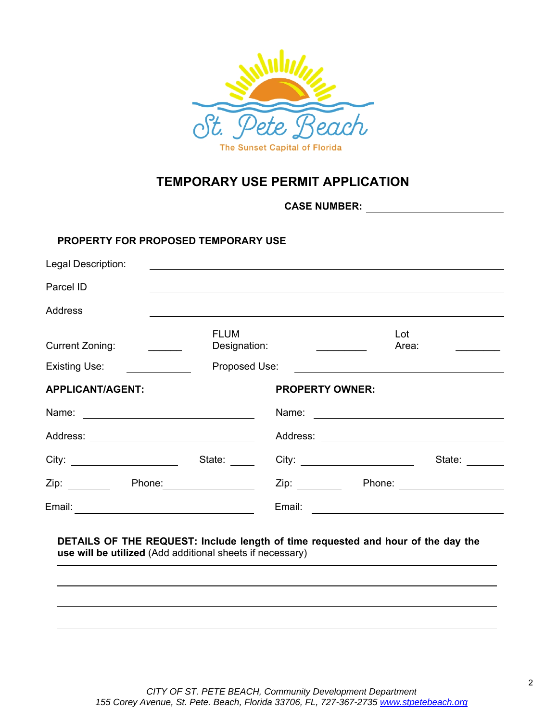

# **TEMPORARY USE PERMIT APPLICATION**

**CASE NUMBER:** 

#### **PROPERTY FOR PROPOSED TEMPORARY USE**

| Legal Description:                                                                                                                                                                                                                                        |                             |                                                                                                                |                          |
|-----------------------------------------------------------------------------------------------------------------------------------------------------------------------------------------------------------------------------------------------------------|-----------------------------|----------------------------------------------------------------------------------------------------------------|--------------------------|
| Parcel ID                                                                                                                                                                                                                                                 |                             |                                                                                                                |                          |
| <b>Address</b>                                                                                                                                                                                                                                            |                             |                                                                                                                |                          |
| <b>Current Zoning:</b>                                                                                                                                                                                                                                    | <b>FLUM</b><br>Designation: |                                                                                                                | Lot<br>Area:             |
| Existing Use:                                                                                                                                                                                                                                             | Proposed Use:               |                                                                                                                |                          |
| <b>APPLICANT/AGENT:</b>                                                                                                                                                                                                                                   |                             | <b>PROPERTY OWNER:</b>                                                                                         |                          |
| Name: <u>___________________________</u>                                                                                                                                                                                                                  |                             |                                                                                                                |                          |
|                                                                                                                                                                                                                                                           |                             |                                                                                                                |                          |
| City: ________________________                                                                                                                                                                                                                            | State:                      |                                                                                                                | State:                   |
| Zip: the contract of the contract of the contract of the contract of the contract of the contract of the contract of the contract of the contract of the contract of the contract of the contract of the contract of the contr<br>Phone: <u>_________</u> |                             | Zip: where the contract of the contract of the contract of the contract of the contract of the contract of the | Phone: _________________ |
| Email:                                                                                                                                                                                                                                                    |                             | Email:                                                                                                         |                          |

## **DETAILS OF THE REQUEST: Include length of time requested and hour of the day the use will be utilized** (Add additional sheets if necessary)